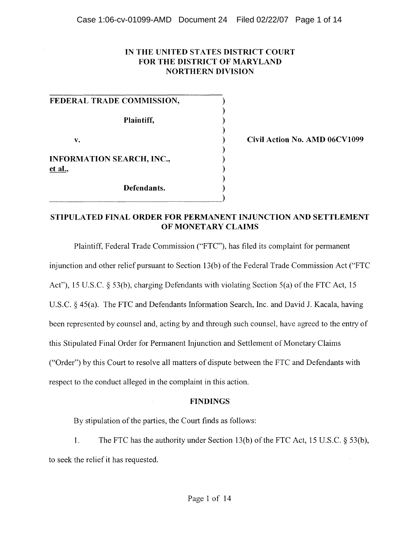### **IN THE UNITED STATES DISTRICT COURT FOR THE DISTRICT OF MARYLAND NORTHERN DIVISION**

) ) ) ) ) ) ) ) ) )

|         | FEDERAL TRADE COMMISSION, |  |
|---------|---------------------------|--|
|         | Plaintiff,                |  |
| v.      |                           |  |
| et al., | INFORMATION SEARCH, INC., |  |
|         | Defendants.               |  |

 $\overline{\phantom{a}}$ 

**Civil Action No. AMD 06CVI099** 

## **STIPULATED FINAL ORDER FOR PERMANENT INJUNCTION AND SETTLEMENT OF MONETARY CLAIMS**

Plaintiff, Federal Trade Commission ("FTC"), has filed its complaint for permanent

injunction and other relief pursuant to Section 13(b) of the Federal Trade Commission Act ("FTC

Act"), 15 U.S.C. § 53(b), charging Defendants with violating Section 5(a) of the FTC Act, 15

U.S.C. § 45(a). The FTC and Defendants Information Search, Inc. and David J. Kacala, having

been represented by counsel and, acting by and through such counsel, have agreed to the entry of

this Stipulated Final Order for Permanent Injunction and Settlement of Monetary Claims

("Order") by this Court to resolve all matters of dispute between the FTC and Defendants with

respect to the conduct alleged in the complaint in this action.

### **FINDINGS**

By stipulation of the parties, the Court finds as follows:

l. The FTC has the authority under Section 13(b) of the FTC Act, 15 U.S.C. § 53(b), to seek the relief it has requested.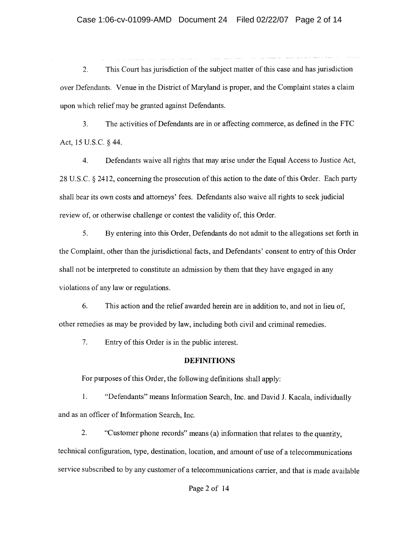2. This Court has jurisdiction of the subject matter of this case and has jurisdiction over Defendants. Venue in the District of Maryland is proper, and the Complaint states a claim upon which relief may be granted against Defendants.

3. The activities of Defendants are in or affecting commerce, as defined in the FTC Act, 15 V.S.c. § 44.

4. Defendants waive all rights that may arise under the Equal Access to Justice Act, 28 V.S.c. § 2412, concerning the prosecution of this action to the date of this Order. Each party shall bear its own costs and attorneys' fees. Defendants also waive all rights to seek judicial review of, or otherwise challenge or contest the validity of, this Order.

5. By entering into this Order, Defendants do not admit to the allegations set forth in the Complaint, other than the jurisdictional facts, and Defendants' consent to entry of this Order shall not be interpreted to constitute an admission by them that they have engaged in any violations of any law or regulations.

6. This action and the relief awarded herein are in addition to, and not in lieu of, other remedies as may be provided by law, including both civil and criminal remedies.

7. Entry of this Order is in the public interest.

### **DEFINITIONS**

For purposes of this Order, the following defmitions shall apply:

1. "Defendants" means Information Search, Inc. and David 1. Kacala, individually and as an officer of Information Search, Inc.

2. "Customer phone records" means (a) information that relates to the quantity, technical configuration, type, destination, location, and amount of use of a telecommunications service subscribed to by any customer of a telecommunications carrier, and that is made available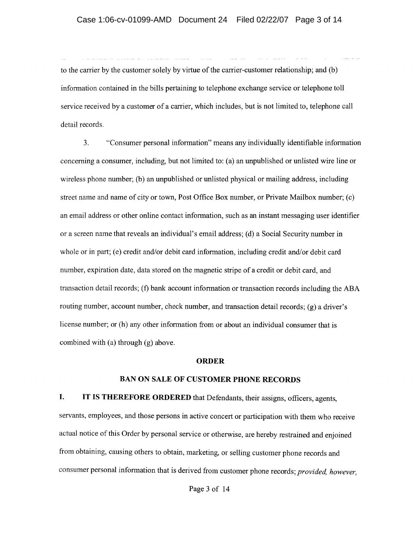to the carrier by the customer solely by virtue of the carrier-customer relationship; and (b) information contained in the bills pertaining to telephone exchange service or telephone toll service received by a customer of a carrier, which includes, but is not limited to, telephone call detail records.

3. "Consumer personal information" means any individually identifiable information concerning a consumer, including, but not limited to: (a) an unpublished or unlisted wire line or wireless phone number; (b) an unpublished or unlisted physical or mailing address, including street name and name of city or town, Post Office Box number, or Private Mailbox number; (c) an email address or other online contact information, such as an instant messaging user identifier or a screen name that reveals an individual's email address; (d) a Social Security number in whole or in part; (e) credit and/or debit card information, including credit and/or debit card number, expiration date, data stored on the magnetic stripe of a credit or debit card, and transaction detail records; (f) bank account information or transaction records including the ABA routing number, account number, check number, and transaction detail records; (g) a driver's license number; or (h) any other information from or about an individual consumer that is combined with (a) through (g) above.

#### **ORDER**

#### **BAN ON** SALE **OF CUSTOMER PHONE RECORDS**

**I. IT IS THEREFORE ORDERED** that Defendants, their assigns, officers, agents, servants, employees, and those persons in active concert or participation with them who receive actual notice of this Order by personal service or otherwise, are hereby restrained and enjoined from obtaining, causing others to obtain, marketing, or selling customer phone records and consumer personal information that is derived from customer phone records; *provided, however,*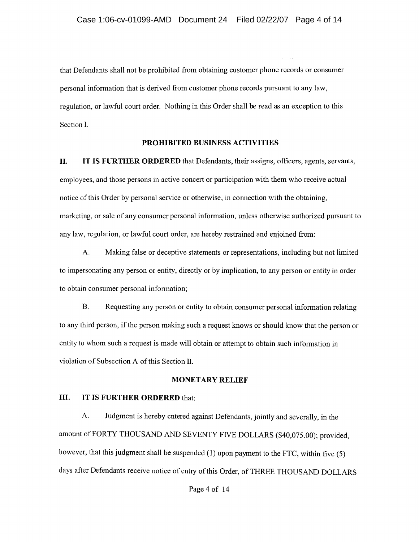that Defendants shall not be prohibited from obtaining customer phone records or consumer personal information that is derived from customer phone records pursuant to any law, regulation, or lawful court order. Nothing in this Order shall be read as an exception to this Section 1.

#### **PROHIBITED BUSINESS ACTIVITIES**

**II. IT IS FURTHER ORDERED** that Defendants, their assigns, officers, agents, servants, employees, and those persons in active concert or participation with them who receive actual notice of this Order by personal service or otherwise, in connection with the obtaining, marketing, or sale of any consumer personal information, unless otherwise authorized pursuant to any law, regulation, or lawful court order, are hereby restrained and enjoined from:

A. Making false or deceptive statements or representations, including but not limited to impersonating any person or entity, directly or by implication, to any person or entity in order to obtain consumer personal information;

B. Requesting any person or entity to obtain consumer personal information relating to any third person, if the person making such a request knows or should know that the person or entity to whom such a request is made will obtain or attempt to obtain such information in violation of Subsection A of this Section II.

#### **MONETARY RELIEF**

### **III. IT IS FURTHER ORDERED** that:

A. Judgment is hereby entered against Defendants, jointly and severally, in the amount of FORTY THOUSAND AND SEVENTY *FNE* DOLLARS (\$40,075.00); provided, however, that this judgment shall be suspended (1) upon payment to the FTC, within five (5) days after Defendants receive notice of entry of this Order, of THREE THOUSAND DOLLARS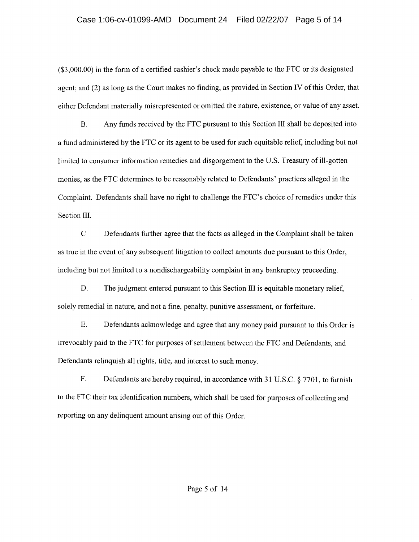### Case 1:06-cv-01099-AMD Document 24 Filed 02/22/07 Page 5 of 14

(\$3,000.00) in the form of a certified cashier's check made payable to the FTC or its designated agent; and (2) as long as the Court makes no finding, as provided in Section **IV** ofthis Order, that either Defendant materially misrepresented or omitted the nature, existence, or value of any asset.

B. Any funds received by the FTC pursuant to this Section III shall be deposited into a fund administered by the FTC or its agent to be used for such equitable relief, including but not limited to consumer information remedies and disgorgement to the U.S. Treasury of ill-gotten monies, as the FTC determines to be reasonably related to Defendants' practices alleged in the Complaint. Defendants shall have no right to challenge the FTC's choice of remedies under this Section **III.** 

C Defendants further agree that the facts as alleged in the Complaint shall be taken as true in the event of any subsequent litigation to collect amounts due pursuant to this Order, including but not limited to a nondischargeability complaint in any bankruptcy proceeding.

D. The judgment entered pursuant to this Section III is equitable monetary relief, solely remedial in nature, and not a fme, penalty, punitive assessment, or forfeiture.

E. Defendants acknowledge and agree that any money paid pursuant to this Order is irrevocably paid to the FTC for purposes of settlement between the FTC and Defendants, and Defendants relinquish all rights, title, and interest to such money.

F. Defendants are hereby required, in accordance with 31 U.S.C. § 7701, to furnish to the FTC their tax identification numbers, which shall be used for purposes of collecting and reporting on any delinquent amount arising out of this Order.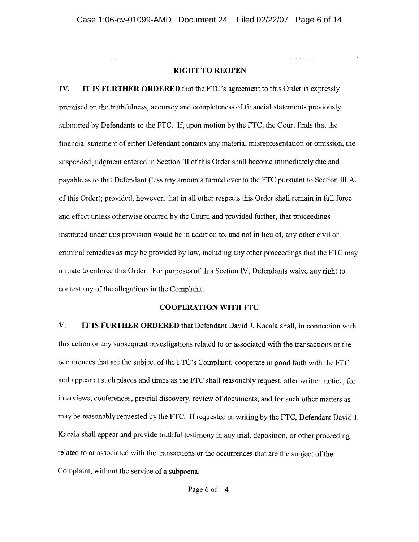#### RIGHT TO REOPEN

IV. IT IS FURTHER ORDERED that the FTC's agreement to this Order is expressly premised on the truthfulness, accuracy and completeness of financial statements previously submitted by Defendants to the FTC. If, upon motion by the FTC, the Court fmds that the fmancial statement of either Defendant contains any material misrepresentation or omission, the suspended judgment entered in Section III of this Order shall become immediately due and payable as to that Defendant (less any amounts turned over to the FTC pursuant to Section lILA. of this Order); provided, however, that in all other respects this Order shall remain in full force and effect unless otherwise ordered by the Court; and provided further, that proceedings instituted under this provision would be in addition to, and not in lieu of, any other civil or criminal remedies as may be provided by law, including any other proceedings that the FTC may initiate to enforce this Order. For purposes of this Section IV, Defendants waive any right to contest any of the allegations in the Complaint.

#### COOPERATION WITH FTC

V. IT IS FURTHER ORDERED that Defendant David J. Kacala shall, in connection with this action or any subsequent investigations related to or associated with the transactions or the occurrences that are the subject of the FTC's Complaint, cooperate in good faith with the FTC and appear at such places and times as the FTC shall reasonably request, after written notice, for interviews, conferences, pretrial discovery, review of documents, and for such other matters as may be reasonably requested by the FTC. If requested in writing by the FTC, Defendant David J. Kacala shall appear and provide truthful testimony in any trial, deposition, or other proceeding related to or associated with the transactions or the occurrences that are the subject of the Complaint, without the service of a subpoena.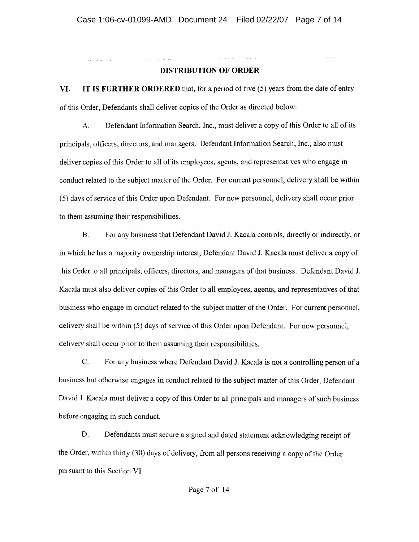### **DISTRIBUTION OF ORDER**

al control

**VI. IT IS FURTHER ORDERED** that, for a period of five (5) years from the date of entry of this Order, Defendants shall deliver copies of the Order as directed below:

A. Defendant Information Search, Inc., must deliver a copy of this Order to all of its principals, officers, directors, and managers. Defendant Information Search, Inc., also must deliver copies of this Order to all of its employees, agents, and representatives who engage in conduct related to the subject matter of the Order. For current personnel, delivery shall be within (5) days of service of this Order upon Defendant. For new personnel, delivery shall occur prior to them assuming their responsibilities.

B. For any business that Defendant David J. Kacala controls, directly or indirectly, or in which he has a majority ownership interest, Defendant David 1. Kacala must deliver a copy of this Order to all principals, officers, directors, and managers of that business. Defendant David J. Kacala must also deliver copies of this Order to all employees, agents, and representatives of that business who engage in conduct related to the subject matter of the Order. For current personnel, delivery shall be within (5) days of service of this Order upon Defendant. For new personnel, delivery shall occur prior to them assuming their responsibilities.

C. For any business where Defendant David J. Kacala is not a controlling person of a business but otherwise engages in conduct related to the subject matter of this Order, Defendant David J. Kacala must deliver a copy of this Order to all principals and managers of such business before engaging in such conduct.

D. Defendants must secure a signed and dated statement acknowledging receipt of the Order, within thirty (30) days of delivery, from all persons receiving a copy of the Order pursuant to this Section VI.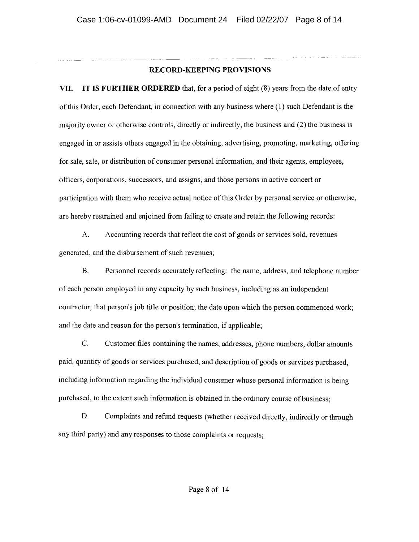### **RECORD-KEEPING PROVISIONS**

**VII. IT IS FURTHER ORDERED** that, for a period of eight (8) years from the date of entry ofthis Order, each Defendant, in connection with any business where (1) such Defendant is the majority owner or otherwise controls, directly or indirectly, the business and (2) the business is engaged in or assists others engaged in the obtaining, advertising, promoting, marketing, offering for sale, sale, or distribution of consumer personal information, and their agents, employees, officers, corporations, successors, and assigns, and those persons in active concert or participation with them who receive actual notice of this Order by personal service or otherwise, are hereby restrained and enjoined from failing to create and retain the following records:

A. Accounting records that reflect the cost of goods or services sold, revenues generated, and the disbursement of such revenues;

B. Personnel records accurately reflecting: the name, address, and telephone number of each person employed in any capacity by such business, including as an independent contractor; that person's job title or position; the date upon which the person commenced work; and the date and reason for the person's termination, if applicable;

C. Customer files containing the names, addresses, phone numbers, dollar amounts paid, quantity of goods or services purchased, and description of goods or services purchased, including information regarding the individual consumer whose personal information is being purchased, to the extent such information is obtained in the ordinary course of business;

D. Complaints and refund requests (whether received directly, indirectly or through any third party) and any responses to those complaints or requests;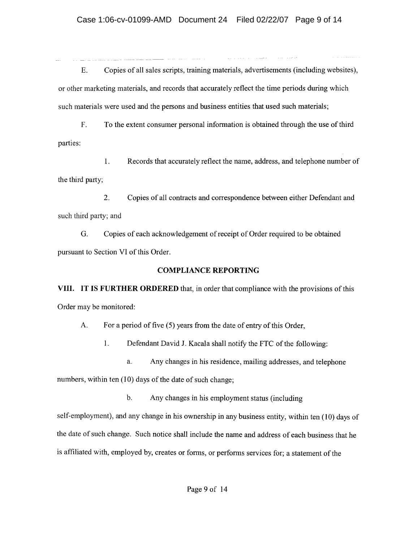E. Copies of all sales scripts, training materials, advertisements (including web sites), or other marketing materials, and records that accurately reflect the time periods during which such materials were used and the persons and business entities that used such materials;

F. To the extent consumer personal information is obtained through the use of third parties:

1. Records that accurately reflect the name, address, and telephone number of the third party;

2. Copies of all contracts and correspondence between either Defendant and such third party; and

G. Copies of each acknowledgement of receipt of Order required to be obtained pursuant to Section VI of this Order.

# **COMPLIANCE REPORTING**

**VIII. IT IS FURTHER ORDERED** that, in order that compliance with the provisions of this Order may be monitored:

A. For a period of five (5) years from the date of entry of this Order,

1. Defendant David J. Kacala shall notify the FTC of the following:

a. Any changes in his residence, mailing addresses, and telephone

numbers, within ten (10) days of the date of such change;

b. Any changes in his employment status (including

self-employment), and any change in his ownership in any business entity, within ten (10) days of the date of such change. Such notice shall include the name and address of each business that he is affiliated with, employed by, creates or forms, or performs services for; a statement of the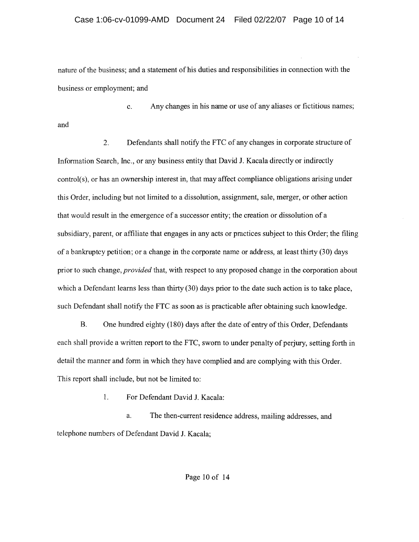nature of the business; and a statement of his duties and responsibilities in connection with the business or employment; and

c. Any changes in his name or use of any aliases or fictitious names; and

2. Defendants shall notify the FTC of any changes in corporate structure of Information Search, Inc., or any business entity that David 1. Kacala directly or indirectly  $control(s)$ , or has an ownership interest in, that may affect compliance obligations arising under this Order, including but not limited to a dissolution, assignment, sale, merger, or other action that would result in the emergence of a successor entity; the creation or dissolution of a subsidiary, parent, or affiliate that engages in any acts or practices subject to this Order; the filing of a bankruptcy petition; or a change in the corporate name or address, at least thirty (30) days prior to such change, *provided* that, with respect to any proposed change in the corporation about which a Defendant learns less than thirty (30) days prior to the date such action is to take place, such Defendant shall notify the FTC as soon as is practicable after obtaining such knowledge.

B. One hundred eighty (180) days after the date of entry of this Order, Defendants each shall provide a written report to the FTC, sworn to under penalty of perjury, setting forth in detail the manner and form in which they have complied and are complying with this Order. This report shall include, but not be limited to:

1. For Defendant David 1. Kacala:

a. The then-current residence address, mailing addresses, and telephone numbers of Defendant David 1. Kacala;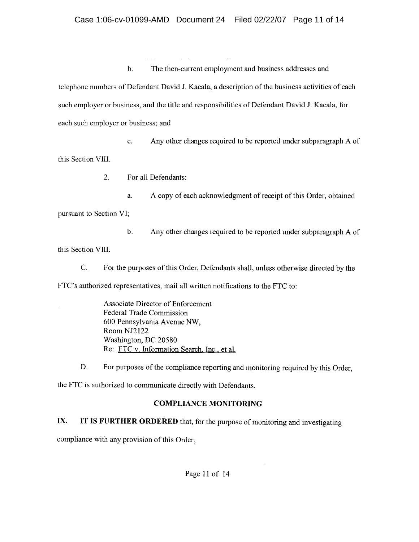b. The then-current employment and business addresses and telephone numbers of Defendant David J. Kacala, a description of the business activities of each such employer or business, and the title and responsibilities of Defendant David J. Kacala, for each such employer or business; and

c. Any other changes required to be reported under subparagraph A of this Section VIII.

2. For all Defendants:

a. A copy of each acknowledgment of receipt of this Order, obtained

pursuant to Section VI;

b. Any other changes required to be reported under subparagraph A of

this Section VIII.

C. For the purposes of this Order, Defendants shall, unless otherwise directed by the

FTC's authorized representatives, mail all written notifications to the FTC to:

Associate Director of Enforcement Federal Trade Commission 600 Pennsylvania Avenue NW, RoomNJ2I22 Washington, DC 20580 Re: FTC v. Information Search, Inc., et al.

D. For purposes of the compliance reporting and monitoring required by this Order,

the FTC is authorized to communicate directly with Defendants.

# COMPLIANCE MONITORING

IX. **IT** IS FURTHER ORDERED that, for the purpose of monitoring and investigating

compliance with any provision of this Order,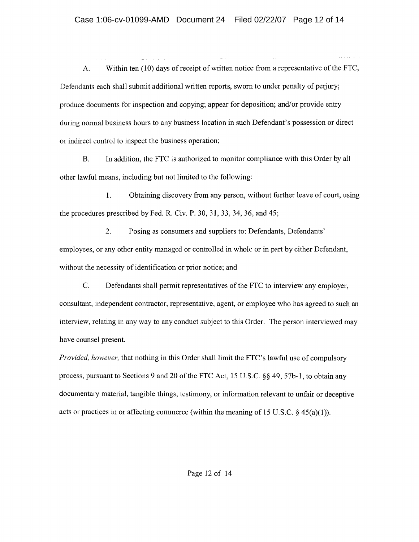A. Within ten (10) days of receipt of written notice from a representative of the FTC, Defendants each shall submit additional written reports, sworn to under penalty of perjury; produce documents for inspection and copying; appear for deposition; and/or provide entry during normal business hours to any business location in such Defendant's possession or direct or indirect control to inspect the business operation;

B. In addition, the FTC is authorized to monitor compliance with this Order by all other lawful means, including but not limited to the following:

1. Obtaining discovery from any person, without further leave of court, using the procedures prescribed by Fed. R. Civ. P. 30, 31, 33, 34, 36, and 45;

2. Posing as consumers and suppliers to: Defendants, Defendants' employees, or any other entity managed or controlled in whole or in part by either Defendant, without the necessity of identification or prior notice; and

C. Defendants shall permit representatives of the FTC to interview any employer, consultant, independent contractor, representative, agent, or employee who has agreed to such an interview, relating in any way to any conduct subject to this Order. The person interviewed may have counsel present.

*Provided, however,* that nothing in this Order shall limit the FTC's lawful use of compulsory process, pursuant to Sections 9 and 20 of the FTC Act, 15 U.S.c. §§ 49, 57b-l, to obtain any documentary material, tangible things, testimony, or information relevant to unfair or deceptive acts or practices in or affecting commerce (within the meaning of 15 U.S.C.  $\S$  45(a)(1)).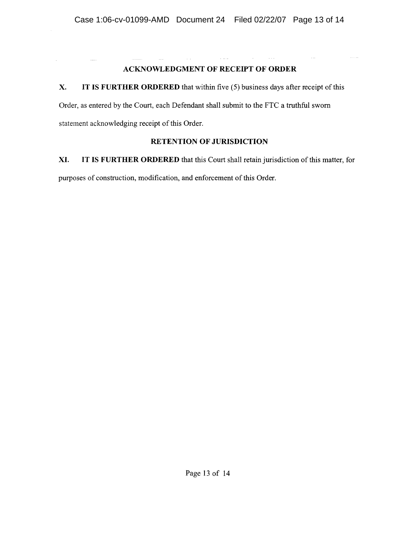## ACKNOWLEDGMENT OF RECEIPT OF ORDER

 $\mathbb{R}^2$  . The set

## x. IT IS FURTHER ORDERED that within five (5) business days after receipt of this

Order, as entered by the Court, each Defendant shall submit to the FTC a truthful sworn statement acknowledging receipt of this Order.

## RETENTION OF JURISDICTION

XI. IT IS FURTHER ORDERED that this Court shall retain jurisdiction of this matter, for purposes of construction, modification, and enforcement of this Order.